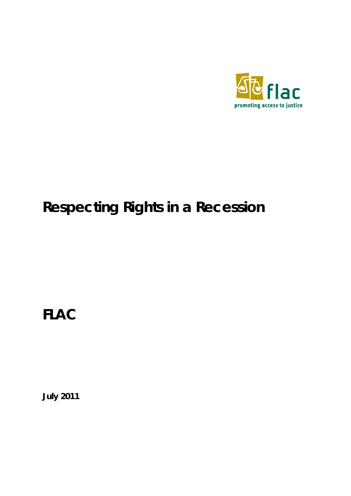

# **Respecting Rights in a Recession**

**FLAC**

**July 2011**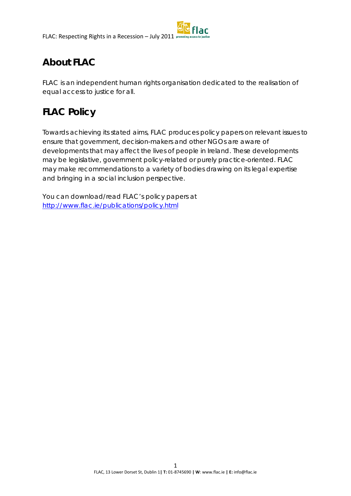# **About FLAC**

FLAC is an independent human rights organisation dedicated to the realisation of equal access to justice for all.

# **FLAC Policy**

Towards achieving its stated aims, FLAC produces policy papers on relevant issues to ensure that government, decision-makers and other NGOs are aware of developments that may affect the lives of people in Ireland. These developments may be legislative, government policy-related or purely practice-oriented. FLAC may make recommendations to a variety of bodies drawing on its legal expertise and bringing in a social inclusion perspective.

You can download/read FLAC's policy papers at <http://www.flac.ie/publications/policy.html>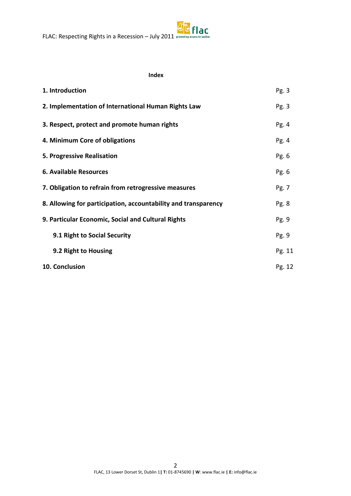#### **Index**

| 1. Introduction                                                | Pg.3   |
|----------------------------------------------------------------|--------|
| 2. Implementation of International Human Rights Law            | Pg.3   |
| 3. Respect, protect and promote human rights                   | Pg.4   |
| 4. Minimum Core of obligations                                 | Pg.4   |
| 5. Progressive Realisation                                     | Pg. 6  |
| <b>6. Available Resources</b>                                  | Pg. 6  |
| 7. Obligation to refrain from retrogressive measures           | Pg. 7  |
| 8. Allowing for participation, accountability and transparency | Pg. 8  |
| 9. Particular Economic, Social and Cultural Rights             | Pg.9   |
| 9.1 Right to Social Security                                   | Pg.9   |
| 9.2 Right to Housing                                           | Pg. 11 |
| 10. Conclusion                                                 | Pg. 12 |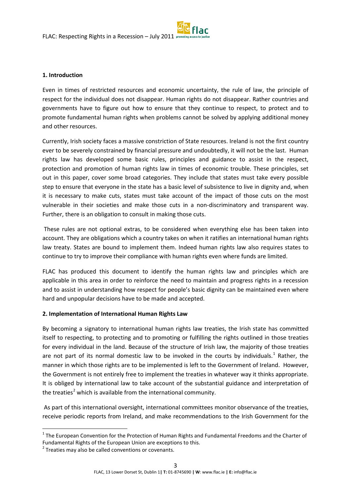#### **1. Introduction**

Even in times of restricted resources and economic uncertainty, the rule of law, the principle of respect for the individual does not disappear. Human rights do not disappear. Rather countries and governments have to figure out how to ensure that they continue to respect, to protect and to promote fundamental human rights when problems cannot be solved by applying additional money and other resources.

Currently, Irish society faces a massive constriction of State resources. Ireland is not the first country ever to be severely constrained by financial pressure and undoubtedly, it will not be the last. Human rights law has developed some basic rules, principles and guidance to assist in the respect, protection and promotion of human rights law in times of economic trouble. These principles, set out in this paper, cover some broad categories. They include that states must take every possible step to ensure that everyone in the state has a basic level of subsistence to live in dignity and, when it is necessary to make cuts, states must take account of the impact of those cuts on the most vulnerable in their societies and make those cuts in a non-discriminatory and transparent way. Further, there is an obligation to consult in making those cuts.

These rules are not optional extras, to be considered when everything else has been taken into account. They are obligations which a country takes on when it ratifies an international human rights law treaty. States are bound to implement them. Indeed human rights law also requires states to continue to try to improve their compliance with human rights even where funds are limited.

FLAC has produced this document to identify the human rights law and principles which are applicable in this area in order to reinforce the need to maintain and progress rights in a recession and to assist in understanding how respect for people's basic dignity can be maintained even where hard and unpopular decisions have to be made and accepted.

#### **2. Implementation of International Human Rights Law**

By becoming a signatory to international human rights law treaties, the Irish state has committed itself to respecting, to protecting and to promoting or fulfilling the rights outlined in those treaties for every individual in the land. Because of the structure of Irish law, the majority of those treaties are not part of its normal domestic law to be invoked in the courts by individuals.<sup>[1](#page-3-0)</sup> Rather, the manner in which those rights are to be implemented is left to the Government of Ireland. However, the Government is not entirely free to implement the treaties in whatever way it thinks appropriate. It is obliged by international law to take account of the substantial guidance and interpretation of the treaties<sup>[2](#page-3-1)</sup> which is available from the international community.

As part of this international oversight, international committees monitor observance of the treaties, receive periodic reports from Ireland, and make recommendations to the Irish Government for the

<span id="page-3-0"></span> $1$  The European Convention for the Protection of Human Rights and Fundamental Freedoms and the Charter of Fundamental Rights of the European Union are exceptions to this.

<span id="page-3-1"></span> $2$  Treaties may also be called conventions or covenants.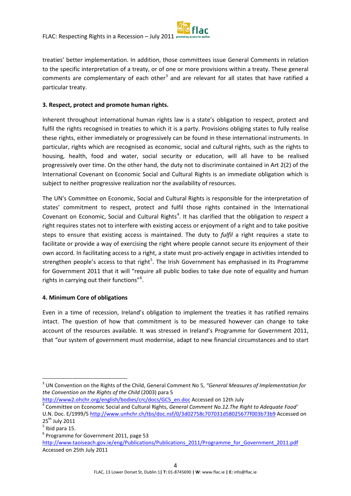treaties' better implementation. In addition, those committees issue General Comments in relation to the specific interpretation of a treaty, or of one or more provisions within a treaty. These general comments are complementary of each other<sup>[3](#page-4-0)</sup> and are relevant for all states that have ratified a particular treaty.

### **3. Respect, protect and promote human rights.**

Inherent throughout international human rights law is a state's obligation to respect, protect and fulfil the rights recognised in treaties to which it is a party. Provisions obliging states to fully realise these rights, either immediately or progressively can be found in these international instruments. In particular, rights which are recognised as economic, social and cultural rights, such as the rights to housing, health, food and water, social security or education, will all have to be realised progressively over time. On the other hand, the duty not to discriminate contained in Art 2(2) of the International Covenant on Economic Social and Cultural Rights is an immediate obligation which is subject to neither progressive realization nor the availability of resources.

The UN's Committee on Economic, Social and Cultural Rights is responsible for the interpretation of states' commitment to respect, protect and fulfil those rights contained in the International Covenant on Economic, Social and Cultural Rights<sup>[4](#page-4-1)</sup>. It has clarified that the obligation to *respect* a right requires states not to interfere with existing access or enjoyment of a right and to take positive steps to ensure that existing access is maintained. The duty to *fulfil* a right requires a state to facilitate or provide a way of exercising the right where people cannot secure its enjoyment of their own accord. In facilitating access to a right, a state must pro-actively engage in activities intended to strengthen people's access to that right<sup>[5](#page-4-2)</sup>. The Irish Government has emphasised in its Programme for Government 2011 that it will "require all public bodies to take due note of equality and human rights in carrying out their functions"<sup>[6](#page-4-3)</sup>.

### **4. Minimum Core of obligations**

Even in a time of recession, Ireland's obligation to implement the treaties it has ratified remains intact. The question of how that commitment is to be measured however can change to take account of the resources available. It was stressed in Ireland's Programme for Government 2011, that "our system of government must modernise, adapt to new financial circumstances and to start

<span id="page-4-0"></span> <sup>3</sup> UN Convention on the Rights of the Child, General Comment No 5, *"General Measures of Implementation for the Convention on the Rights of the Child* (2003) para 5

<span id="page-4-1"></span>http://www2.ohchr.org/english/bodies/crc/docs/GC5\_en.doc Accessed on 12th July [4](http://www2.ohchr.org/english/bodies/crc/docs/GC5_en.doc) Committee on Economic Social and Cultural Rights, *General Comment No.12.The Right to Adequate Food'*  U.N. Doc. E/1999/5<http://www.unhchr.ch/tbs/doc.nsf/0/3d02758c707031d58025677f003b73b9> Accessed on 25<sup>th</sup> July 2011

<span id="page-4-2"></span> $<sup>5</sup>$  Ibid para 15.</sup>

<span id="page-4-3"></span><sup>6</sup> Programme for Government 2011, page 53

[http://www.taoiseach.gov.ie/eng/Publications/Publications\\_2011/Programme\\_for\\_Government\\_2011.pdf](http://www.taoiseach.gov.ie/eng/Publications/Publications_2011/Programme_for_Government_2011.pdf) Accessed on 25th July 2011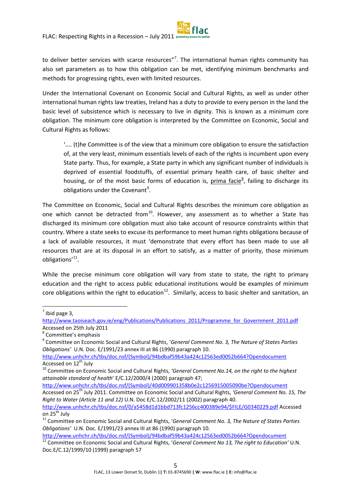to deliver better services with scarce resources"<sup>[7](#page-5-0)</sup>. The international human rights community has also set parameters as to how this obligation can be met, identifying minimum benchmarks and methods for progressing rights, even with limited resources.

Under the International Covenant on Economic Social and Cultural Rights, as well as under other international human rights law treaties, Ireland has a duty to provide to every person in the land the basic level of subsistence which is necessary to live in dignity. This is known as a minimum core obligation. The minimum core obligation is interpreted by the Committee on Economic, Social and Cultural Rights as follows:

'.... (t)he Committee is of the view that a minimum core obligation to ensure the satisfaction of, at the very least, minimum essentials levels of each of the rights is incumbent upon every State party. Thus, for example, a State party in which any significant number of individuals is deprived of essential foodstuffs, of essential primary health care, of basic shelter and housing, or of the most basic forms of education is, prima facie<sup>[8](#page-5-1)</sup>, failing to discharge its obligations under the Covenant<sup>[9](#page-5-2)</sup>.

The Committee on Economic, Social and Cultural Rights describes the minimum core obligation as one which cannot be detracted from<sup>10</sup>. However, any assessment as to whether a State has discharged its minimum core obligation must also take account of resource constraints within that country. Where a state seeks to excuse its performance to meet human rights obligations because of a lack of available resources, it must 'demonstrate that every effort has been made to use all resources that are at its disposal in an effort to satisfy, as a matter of priority, those minimum obligations'<sup>[11](#page-5-4)</sup>.

While the precise minimum core obligation will vary from state to state, the right to primary education and the right to access public educational institutions would be examples of minimum core obligations within the right to education<sup>[12](#page-5-5)</sup>. Similarly, access to basic shelter and sanitation, an

<span id="page-5-0"></span> $<sup>7</sup>$  Ibid page 3,</sup>

http://www.taoiseach.gov.ie/eng/Publications/Publications\_2011/Programme\_for\_Government\_2011.pdf Accessed on 25th July 2011

<span id="page-5-1"></span><sup>8</sup> Committee's emphasis

<span id="page-5-2"></span><sup>9</sup> Committee on Economic Social and Cultural Rights, '*General Comment No. 3, The Nature of States Parties Obligations'* U.N. Doc. E/1991/23 annex III at 86 (1990) paragraph 10.

[http://www.unhchr.ch/tbs/doc.nsf/\(Symbol\)/94bdbaf59b43a424c12563ed0052b664?Opendocument](http://www.unhchr.ch/tbs/doc.nsf/(Symbol)/94bdbaf59b43a424c12563ed0052b664?Opendocument)

<span id="page-5-3"></span>Accessed on 12<sup>th</sup> July<br><sup>10</sup> Committee on Economic Social and Cultural Rights, *'General Comment No.14, on the right to the highest attainable standard of health*' E/C.12/2000/4 (2000) paragraph 47;

[http://www.unhchr.ch/tbs/doc.nsf/\(Symbol\)/40d009901358b0e2c1256915005090be?Opendocument](http://www.unhchr.ch/tbs/doc.nsf/(Symbol)/40d009901358b0e2c1256915005090be?Opendocument) Accessed on 25th July 2011. Committee on Economic Social and Cultural Rights, *'General Comment No. 15, The Right to Water (Article 11 and 12)* U.N. Doc E/C.12/2002/11 (2002) paragraph 40.

[http://www.unhchr.ch/tbs/doc.nsf/0/a5458d1d1bbd713fc1256cc400389e94/\\$FILE/G0340229.pdf](http://www.unhchr.ch/tbs/doc.nsf/0/a5458d1d1bbd713fc1256cc400389e94/$FILE/G0340229.pdf) Accessed on 25<sup>th</sup> July<br><sup>11</sup> Committee on Economic Social and Cultural Rights, '*General Comment No. 3, The Nature of States Parties* 

<span id="page-5-4"></span>*Obligations'* U.N. Doc. E/1991/23 annex III at 86 (1990) paragraph 10.

[http://www.unhchr.ch/tbs/doc.nsf/\(Symbol\)/94bdbaf59b43a424c12563ed0052b664?Opendocument](http://www.unhchr.ch/tbs/doc.nsf/(Symbol)/94bdbaf59b43a424c12563ed0052b664?Opendocument)

<span id="page-5-5"></span><sup>12</sup> Committee on Economic Social and Cultural Rights, '*General Comment No 13, The right to Education'* U.N. Doc.E/C.12/1999/10 (1999) paragraph 57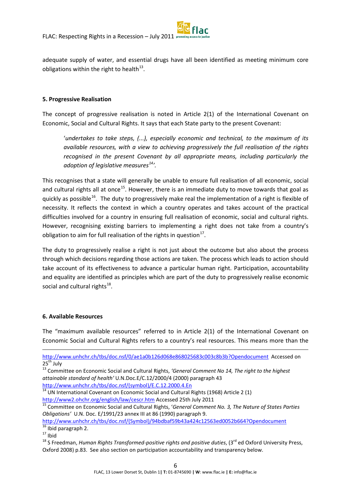adequate supply of water, and essential drugs have all been identified as meeting minimum core obligations within the right to health<sup>[13](#page-6-0)</sup>.

#### **5. Progressive Realisation**

The concept of progressive realisation is noted in Article 2(1) of the International Covenant on Economic, Social and Cultural Rights. It says that each State party to the present Covenant:

'*undertakes to take steps, (...), especially economic and technical, to the maximum of its available resources, with a view to achieving progressively the full realisation of the rights recognised in the present Covenant by all appropriate means, including particularly the adoption of legislative measures[14](#page-6-1) '.*

This recognises that a state will generally be unable to ensure full realisation of all economic, social and cultural rights all at once<sup>[15](#page-6-2)</sup>. However, there is an immediate duty to move towards that goal as quickly as possible<sup>[16](#page-6-3)</sup>. The duty to progressively make real the implementation of a right is flexible of necessity. It reflects the context in which a country operates and takes account of the practical difficulties involved for a country in ensuring full realisation of economic, social and cultural rights. However, recognising existing barriers to implementing a right does not take from a country's obligation to aim for full realisation of the rights in question<sup>[17](#page-6-4)</sup>.

The duty to progressively realise a right is not just about the outcome but also about the process through which decisions regarding those actions are taken. The process which leads to action should take account of its effectiveness to advance a particular human right. Participation, accountability and equality are identified as principles which are part of the duty to progressively realise economic social and cultural rights $^{18}$  $^{18}$  $^{18}$ .

#### **6. Available Resources**

The "maximum available resources" referred to in Article 2(1) of the International Covenant on Economic Social and Cultural Rights refers to a country's real resources. This means more than the

[http://www.unhchr.ch/tbs/doc.nsf/\(Symbol\)/94bdbaf59b43a424c12563ed0052b664?Opendocument](http://www.unhchr.ch/tbs/doc.nsf/(Symbol)/94bdbaf59b43a424c12563ed0052b664?Opendocument)

 $\frac{16}{16}$  Ibid paragraph 2.

<u>.</u>

<http://www.unhchr.ch/tbs/doc.nsf/0/ae1a0b126d068e868025683c003c8b3b?Opendocument> Accessed on  $25<sup>th</sup>$  July

<span id="page-6-0"></span><sup>13</sup> Committee on Economic Social and Cultural Rights, *'General Comment No 14, The right to the highest attainable standard of health'* U.N.Doc.E/C.12/2000/4 (2000) paragraph 43 [http://www.unhchr.ch/tbs/doc.nsf/\(symbol\)/E.C.12.2000.4.En](http://www.unhchr.ch/tbs/doc.nsf/(symbol)/E.C.12.2000.4.En)

<span id="page-6-1"></span><sup>14</sup> UN International Covenant on Economic Social and Cultural Rights (1968) Article 2 (1)

<span id="page-6-2"></span>http://www2.ohchr.org/english/law/cescr.htm [A](http://www2.ohchr.org/english/law/cescr.htm)ccessed 25th July 2011<br><sup>[15](http://www2.ohchr.org/english/law/cescr.htm)</sup> Committee on Economic Social and Cultural Rights, '*General Comment No. 3, The Nature of States Parties Obligations'* U.N. Doc. E/1991/23 annex III at 86 (1990) paragraph 9.

<span id="page-6-4"></span><span id="page-6-3"></span> $17$  Ibid

<span id="page-6-5"></span><sup>&</sup>lt;sup>18</sup> S Freedman, *Human Rights Transformed-positive rights and positive duties*, (3<sup>rd</sup> ed Oxford University Press, Oxford 2008) p.83. See also section on participation accountability and transparency below.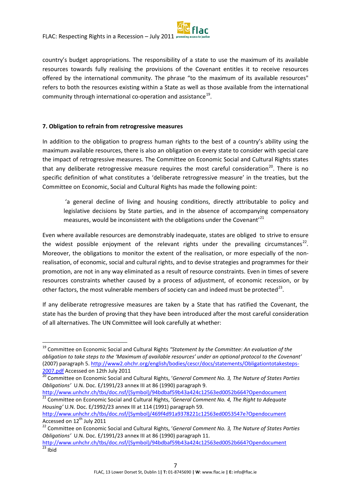country's budget appropriations. The responsibility of a state to use the maximum of its available resources towards fully realising the provisions of the Covenant entitles it to receive resources offered by the international community. The phrase "to the maximum of its available resources" refers to both the resources existing within a State as well as those available from the international community through international co-operation and assistance<sup>19</sup>.

### **7. Obligation to refrain from retrogressive measures**

In addition to the obligation to progress human rights to the best of a country's ability using the maximum available resources, there is also an obligation on every state to consider with special care the impact of retrogressive measures. The Committee on Economic Social and Cultural Rights states that any deliberate retrogressive measure requires the most careful consideration<sup>[20](#page-7-1)</sup>. There is no specific definition of what constitutes a 'deliberate retrogressive measure' in the treaties, but the Committee on Economic, Social and Cultural Rights has made the following point:

'a general decline of living and housing conditions, directly attributable to policy and legislative decisions by State parties, and in the absence of accompanying compensatory measures, would be inconsistent with the obligations under the Covenant'<sup>[21](#page-7-2)</sup>

Even where available resources are demonstrably inadequate, states are obliged to strive to ensure the widest possible enjoyment of the relevant rights under the prevailing circumstances<sup>[22](#page-7-3)</sup>. Moreover, the obligations to monitor the extent of the realisation, or more especially of the nonrealisation, of economic, social and cultural rights, and to devise strategies and programmes for their promotion, are not in any way eliminated as a result of resource constraints. Even in times of severe resources constraints whether caused by a process of adjustment, of economic recession, or by other factors, the most vulnerable members of society can and indeed must be protected<sup>[23](#page-7-4)</sup>.

If any deliberate retrogressive measures are taken by a State that has ratified the Covenant, the state has the burden of proving that they have been introduced after the most careful consideration of all alternatives. The UN Committee will look carefully at whether:

<span id="page-7-0"></span> <sup>19</sup> Committee on Economic Social and Cultural Rights *"Statement by the Committee: An evaluation of the obligation to take steps to the 'Maximum of available resources' under an optional protocol to the Covenant'* (2007) paragraph 5[. http://www2.ohchr.org/english/bodies/cescr/docs/statements/Obligationtotakesteps-](http://www2.ohchr.org/english/bodies/cescr/docs/statements/Obligationtotakesteps-2007.pdf)[2007.pdf](http://www2.ohchr.org/english/bodies/cescr/docs/statements/Obligationtotakesteps-2007.pdf) Accessed on 12th July 2011

<span id="page-7-1"></span><sup>20</sup> Committee on Economic Social and Cultural Rights, '*General Comment No. 3, The Nature of States Parties Obligations'* U.N. Doc. E/1991/23 annex III at 86 (1990) paragraph 9.

<span id="page-7-2"></span>[http://www.unhchr.ch/tbs/doc.nsf/\(Symbol\)/94bdbaf59b43a424c12563ed0052b664?Opendocument](http://www.unhchr.ch/tbs/doc.nsf/(Symbol)/94bdbaf59b43a424c12563ed0052b664?Opendocument) <sup>21</sup> Committee on Economic Social and Cultural Rights, 'General Comment No. 4, The Right to Adequate *Housing'* U.N. Doc. E/1992/23 annex III at 114 (1991) paragraph 59.

[http://www.unhchr.ch/tbs/doc.nsf/\(Symbol\)/469f4d91a9378221c12563ed0053547e?Opendocument](http://www.unhchr.ch/tbs/doc.nsf/(Symbol)/469f4d91a9378221c12563ed0053547e?Opendocument) Accessed on 12<sup>th</sup> July 2011

<span id="page-7-3"></span><sup>22</sup> Committee on Economic Social and Cultural Rights, '*General Comment No. 3, The Nature of States Parties Obligations'* U.N. Doc. E/1991/23 annex III at 86 (1990) paragraph 11.

<span id="page-7-4"></span>[http://www.unhchr.ch/tbs/doc.nsf/\(Symbol\)/94bdbaf59b43a424c12563ed0052b664?Opendocument](http://www.unhchr.ch/tbs/doc.nsf/(Symbol)/94bdbaf59b43a424c12563ed0052b664?Opendocument)  $\overline{^{23}}$  Ibid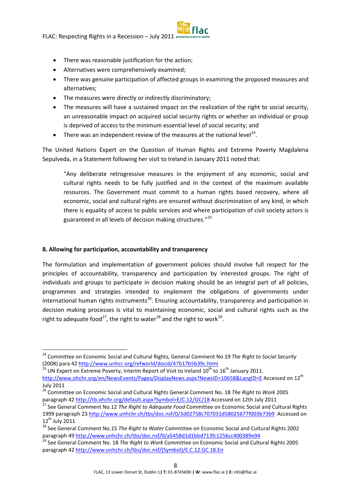- There was reasonable justification for the action;
- Alternatives were comprehensively examined;
- There was genuine participation of affected groups in examining the proposed measures and alternatives;
- The measures were directly or indirectly discriminatory;
- The measures will have a sustained impact on the realization of the right to social security, an unreasonable impact on acquired social security rights or whether an individual or group is deprived of access to the minimum essential level of social security; and
- There was an independent review of the measures at the national level<sup>[24](#page-8-0)</sup>.

The United Nations Expert on the Question of Human Rights and Extreme Poverty Magdalena Sepulveda, in a Statement following her visit to Ireland in January 2011 noted that:

"Any deliberate retrogressive measures in the enjoyment of any economic, social and cultural rights needs to be fully justified and in the context of the maximum available resources. The Government must commit to a human rights based recovery, where all economic, social and cultural rights are ensured without discrimination of any kind, in which there is equality of access to public services and where participation of civil society actors is guaranteed in all levels of decision making structures."[25](#page-8-1)

### **8. Allowing for participation, accountability and transparency**

The formulation and implementation of government policies should involve full respect for the principles of accountability, transparency and participation by interested groups. The right of individuals and groups to participate in decision making should be an integral part of all policies, programmes and strategies intended to implement the obligations of governments under international human rights instruments<sup>[26](#page-8-2)</sup>. Ensuring accountability, transparency and participation in decision making processes is vital to maintaining economic, social and cultural rights such as the right to adequate food<sup>27</sup>, the right to water<sup>28</sup> and the right to work<sup>[29](#page-8-5)</sup>.

<span id="page-8-0"></span> <sup>24</sup> Committee on Economic Social and Cultural Rights, General Comment No 19 *The Right to Social Security* (2008) para 42 <http://www.unhcr.org/refworld/docid/47b17b5b39c.html>

<span id="page-8-1"></span> $^{25}$  UN Expert on Extreme Poverty, Interim Report of Visit to Ireland 10<sup>th</sup> to 16<sup>th</sup> January 2011. <http://www.ohchr.org/en/NewsEvents/Pages/DisplayNews.aspx?NewsID=10658&LangID=E> Accessed on 12<sup>th</sup>

July 2011

<span id="page-8-2"></span><sup>26</sup> Committee on Economic Social and Cultural Rights General Comment No. 18 *The Right to Work* 2005 paragraph 4[2 http://tb.ohchr.org/default.aspx?Symbol=E/C.12/GC/18](http://tb.ohchr.org/default.aspx?Symbol=E/C.12/GC/18) Accessed on 12th July 2011

<span id="page-8-3"></span><sup>27</sup> See General Comment No.12 *The Right to Adequate Food* Committee on Economic Social and Cultural Rights 1999 paragraph 23<http://www.unhchr.ch/tbs/doc.nsf/0/3d02758c707031d58025677f003b73b9>Accessed on  $12^{th}$  July 2011

<span id="page-8-4"></span><sup>28</sup> See General Comment No.15 *The Right to Water* Committee on Economic Social and Cultural Rights 2002 paragraph 4[9 http://www.unhchr.ch/tbs/doc.nsf/0/a5458d1d1bbd713fc1256cc400389e94](http://www.unhchr.ch/tbs/doc.nsf/0/a5458d1d1bbd713fc1256cc400389e94)

<span id="page-8-5"></span><sup>29</sup> See General Comment No. 18 *The Right to Work* Committee on Economic Social and Cultural Rights 2005 paragraph 4[2 http://www.unhchr.ch/tbs/doc.nsf/\(Symbol\)/E.C.12.GC.18.En](http://www.unhchr.ch/tbs/doc.nsf/(Symbol)/E.C.12.GC.18.En)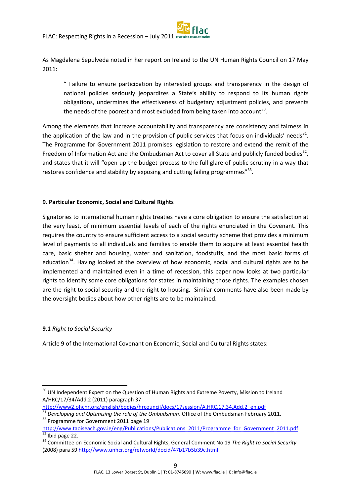As Magdalena Sepulveda noted in her report on Ireland to the UN Human Rights Council on 17 May 2011:

" Failure to ensure participation by interested groups and transparency in the design of national policies seriously jeopardizes a State's ability to respond to its human rights obligations, undermines the effectiveness of budgetary adjustment policies, and prevents the needs of the poorest and most excluded from being taken into account<sup>[30](#page-9-0)</sup>.

Among the elements that increase accountability and transparency are consistency and fairness in the application of the law and in the provision of public services that focus on individuals' needs<sup>[31](#page-9-1)</sup>. The Programme for Government 2011 promises legislation to restore and extend the remit of the Freedom of Information Act and the Ombudsman Act to cover all State and publicly funded bodies<sup>[32](#page-9-2)</sup>, and states that it will "open up the budget process to the full glare of public scrutiny in a way that restores confidence and stability by exposing and cutting failing programmes" $^{33}$  $^{33}$  $^{33}$ .

## **9. Particular Economic, Social and Cultural Rights**

Signatories to international human rights treaties have a core obligation to ensure the satisfaction at the very least, of minimum essential levels of each of the rights enunciated in the Covenant. This requires the country to ensure sufficient access to a social security scheme that provides a minimum level of payments to all individuals and families to enable them to acquire at least essential health care, basic shelter and housing, water and sanitation, foodstuffs, and the most basic forms of education<sup>[34](#page-9-4)</sup>. Having looked at the overview of how economic, social and cultural rights are to be implemented and maintained even in a time of recession, this paper now looks at two particular rights to identify some core obligations for states in maintaining those rights. The examples chosen are the right to social security and the right to housing. Similar comments have also been made by the oversight bodies about how other rights are to be maintained.

### **9.1** *Right to Social Security*

Article 9 of the International Covenant on Economic, Social and Cultural Rights states:

[http://www2.ohchr.org/english/bodies/hrcouncil/docs/17session/A.HRC.17.34.Add.2\\_en.pdf](http://www2.ohchr.org/english/bodies/hrcouncil/docs/17session/A.HRC.17.34.Add.2_en.pdf)

- <span id="page-9-1"></span><sup>31</sup> *Developing and Optimising the role of the Ombudsman*. Office of the Ombudsman February 2011.<br><sup>32</sup> Programme for Government 2011 page 19
- <span id="page-9-2"></span>[http://www.taoiseach.gov.ie/eng/Publications/Publications\\_2011/Programme\\_for\\_Government\\_2011.pdf](http://www.taoiseach.gov.ie/eng/Publications/Publications_2011/Programme_for_Government_2011.pdf)  $\overline{33}$  Ibid page 22.

<span id="page-9-0"></span><sup>&</sup>lt;sup>30</sup> UN Independent Expert on the Question of Human Rights and Extreme Poverty, Mission to Ireland A/HRC/17/34/Add.2 (2011) paragraph 37

<span id="page-9-4"></span><span id="page-9-3"></span><sup>34</sup> Committee on Economic Social and Cultural Rights, General Comment No 19 *The Right to Social Security* (2008) para 5[9 http://www.unhcr.org/refworld/docid/47b17b5b39c.html](http://www.unhcr.org/refworld/docid/47b17b5b39c.html)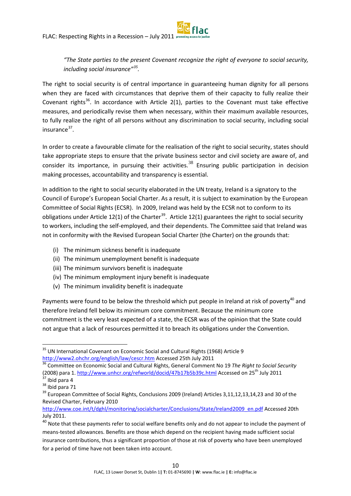*"The State parties to the present Covenant recognize the right of everyone to social security, including social insurance"[35](#page-10-0) .*

The right to social security is of central importance in guaranteeing human dignity for all persons when they are faced with circumstances that deprive them of their capacity to fully realize their Covenant rights<sup>[36](#page-10-1)</sup>. In accordance with Article 2(1), parties to the Covenant must take effective measures, and periodically revise them when necessary, within their maximum available resources, to fully realize the right of all persons without any discrimination to social security, including social  $insurance<sup>37</sup>$ 

In order to create a favourable climate for the realisation of the right to social security, states should take appropriate steps to ensure that the private business sector and civil society are aware of, and consider its importance, in pursuing their activities.<sup>[38](#page-10-3)</sup> Ensuring public participation in decision making processes, accountability and transparency is essential.

In addition to the right to social security elaborated in the UN treaty, Ireland is a signatory to the Council of Europe's European Social Charter. As a result, it is subject to examination by the European Committee of Social Rights (ECSR). In 2009, Ireland was held by the ECSR not to conform to its obligations under Article 12(1) of the Charter<sup>[39](#page-10-4)</sup>. Article 12(1) guarantees the right to social security to workers, including the self-employed, and their dependents. The Committee said that Ireland was not in conformity with the Revised European Social Charter (the Charter) on the grounds that:

- (i) The minimum sickness benefit is inadequate
- (ii) The minimum unemployment benefit is inadequate
- (iii) The minimum survivors benefit is inadequate
- (iv) The minimum employment injury benefit is inadequate
- (v) The minimum invalidity benefit is inadequate

Payments were found to be below the threshold which put people in Ireland at risk of poverty<sup>[40](#page-10-5)</sup> and therefore Ireland fell below its minimum core commitment. Because the minimum core commitment is the very least expected of a state, the ECSR was of the opinion that the State could not argue that a lack of resources permitted it to breach its obligations under the Convention.

<span id="page-10-0"></span><sup>&</sup>lt;sup>35</sup> UN International Covenant on Economic Social and Cultural Rights (1968) Article 9 http://www2.ohchr.org/english/law/cescr.htm [A](http://www2.ohchr.org/english/law/cescr.htm)ccessed 25th July 2011<br><sup>[36](http://www2.ohchr.org/english/law/cescr.htm)</sup> Committee on Economic Social and Cultural Rights, General Comment No 19 *The Right to Social Security* 

<span id="page-10-1"></span><sup>(2008)</sup> para 1. <http://www.unhcr.org/refworld/docid/47b17b5b39c.html> Accessed on 25<sup>th</sup> July 2011  $37$  Ibid para 4

<span id="page-10-3"></span><span id="page-10-2"></span><sup>&</sup>lt;sup>38</sup> Ibid para 71

<span id="page-10-4"></span><sup>&</sup>lt;sup>39</sup> European Committee of Social Rights, Conclusions 2009 (Ireland) Articles 3,11,12,13,14,23 and 30 of the Revised Charter, February 2010

[http://www.coe.int/t/dghl/monitoring/socialcharter/Conclusions/State/Ireland2009\\_en.pdf](http://www.coe.int/t/dghl/monitoring/socialcharter/Conclusions/State/Ireland2009_en.pdf) Accessed 20th July 2011.

<span id="page-10-5"></span> $40$  Note that these payments refer to social welfare benefits only and do not appear to include the payment of means-tested allowances. Benefits are those which depend on the recipient having made sufficient social insurance contributions, thus a significant proportion of those at risk of poverty who have been unemployed for a period of time have not been taken into account.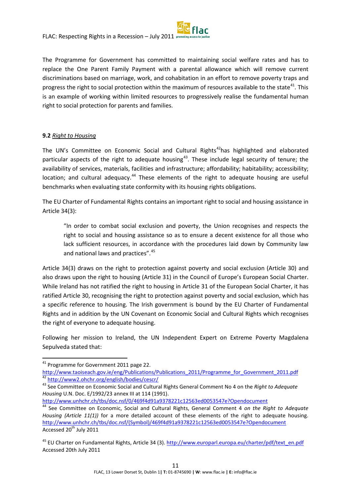

The Programme for Government has committed to maintaining social welfare rates and has to replace the One Parent Family Payment with a parental allowance which will remove current discriminations based on marriage, work, and cohabitation in an effort to remove poverty traps and progress the right to social protection within the maximum of resources available to the state<sup>41</sup>. This is an example of working within limited resources to progressively realise the fundamental human right to social protection for parents and families.

### **9.2** *Right to Housing*

The UN's Committee on Economic Social and Cultural Rights<sup>[42](#page-11-1)</sup>has highlighted and elaborated particular aspects of the right to adequate housing<sup>[43](#page-11-2)</sup>. These include legal security of tenure; the availability of services, materials, facilities and infrastructure; affordability; habitability; accessibility; location; and cultural adequacy.<sup>[44](#page-11-3)</sup> These elements of the right to adequate housing are useful benchmarks when evaluating state conformity with its housing rights obligations.

The EU Charter of Fundamental Rights contains an important right to social and housing assistance in Article 34(3):

"In order to combat social exclusion and poverty, the Union recognises and respects the right to social and housing assistance so as to ensure a decent existence for all those who lack sufficient resources, in accordance with the procedures laid down by Community law and national laws and practices".<sup>[45](#page-11-4)</sup>

Article 34(3) draws on the right to protection against poverty and social exclusion (Article 30) and also draws upon the right to housing (Article 31) in the Council of Europe's European Social Charter. While Ireland has not ratified the right to housing in Article 31 of the European Social Charter, it has ratified Article 30, recognising the right to protection against poverty and social exclusion, which has a specific reference to housing. The Irish government is bound by the EU Charter of Fundamental Rights and in addition by the UN Covenant on Economic Social and Cultural Rights which recognises the right of everyone to adequate housing.

Following her mission to Ireland, the UN Independent Expert on Extreme Poverty Magdalena Sepulveda stated that:

<http://www.unhchr.ch/tbs/doc.nsf/0/469f4d91a9378221c12563ed0053547e?Opendocument>

<span id="page-11-0"></span><sup>&</sup>lt;sup>41</sup> Programme for Government 2011 page 22.

[http://www.taoiseach.gov.ie/eng/Publications/Publications\\_2011/Programme\\_for\\_Government\\_2011.pdf](http://www.taoiseach.gov.ie/eng/Publications/Publications_2011/Programme_for_Government_2011.pdf)<br><sup>42</sup> http://www2.ohchr.org/english/bodies/cescr/

<span id="page-11-2"></span><span id="page-11-1"></span><sup>&</sup>lt;sup>43</sup> See Committee on Economic Social and Cultural Rights General Comment No 4 on the *Right to Adequate Housing* U.N. Doc. E/1992/23 annex III at 114 (1991).

<span id="page-11-3"></span><sup>44</sup> See Committee on Economic, Social and Cultural Rights, General Comment 4 *on the Right to Adequate Housing (Article 11(1))* for a more detailed account of these elements of the right to adequate housing. [http://www.unhchr.ch/tbs/doc.nsf/\(Symbol\)/469f4d91a9378221c12563ed0053547e?Opendocument](http://www.unhchr.ch/tbs/doc.nsf/(Symbol)/469f4d91a9378221c12563ed0053547e?Opendocument)  Accessed 20<sup>th</sup> July 2011

<span id="page-11-4"></span><sup>&</sup>lt;sup>45</sup> EU Charter on Fundamental Rights, Article 34 (3). [http://www.europarl.europa.eu/charter/pdf/text\\_en.pdf](http://www.europarl.europa.eu/charter/pdf/text_en.pdf) Accessed 20th July 2011